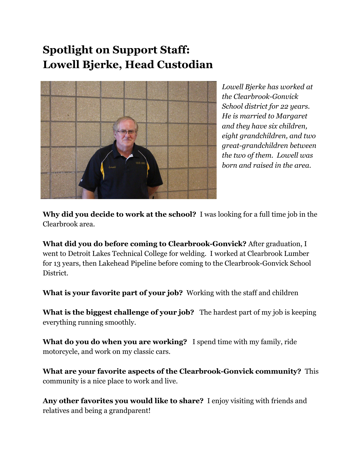## **Spotlight on Support Staff: Lowell Bjerke, Head Custodian**



*Lowell Bjerke has worked at the Clearbrook-Gonvick School district for 22 years. He is married to Margaret and they have six children, eight grandchildren, and two great-grandchildren between the two of them. Lowell was born and raised in the area.*

**Why did you decide to work at the school?** I was looking for a full time job in the Clearbrook area.

**What did you do before coming to Clearbrook-Gonvick?** After graduation, I went to Detroit Lakes Technical College for welding. I worked at Clearbrook Lumber for 13 years, then Lakehead Pipeline before coming to the Clearbrook-Gonvick School District.

**What is your favorite part of your job?** Working with the staff and children

**What is the biggest challenge of your job?** The hardest part of my job is keeping everything running smoothly.

**What do you do when you are working?** I spend time with my family, ride motorcycle, and work on my classic cars.

**What are your favorite aspects of the Clearbrook-Gonvick community?** This community is a nice place to work and live.

**Any other favorites you would like to share?** I enjoy visiting with friends and relatives and being a grandparent!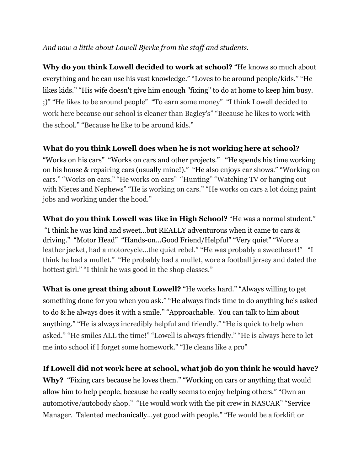## *And now a little about Lowell Bjerke from the staf and students.*

**Why do you think Lowell decided to work at school?** "He knows so much about everything and he can use his vast knowledge." "Loves to be around people/kids." "He likes kids." "His wife doesn't give him enough "fixing" to do at home to keep him busy. ;)" "He likes to be around people" "To earn some money" "I think Lowell decided to work here because our school is cleaner than Bagley's" "Because he likes to work with the school." "Because he like to be around kids."

## **What do you think Lowell does when he is not working here at school?**

"Works on his cars" "Works on cars and other projects." "He spends his time working on his house & repairing cars (usually mine!)." "He also enjoys car shows." "Working on cars." "Works on cars." "He works on cars" "Hunting" "Watching TV or hanging out with Nieces and Nephews" "He is working on cars." "He works on cars a lot doing paint jobs and working under the hood."

**What do you think Lowell was like in High School?** "He was a normal student." "I think he was kind and sweet...but REALLY adventurous when it came to cars & driving." "Motor Head" "Hands-on...Good Friend/Helpful" "Very quiet" "Wore a leather jacket, had a motorcycle...the quiet rebel." "He was probably a sweetheart!" "I think he had a mullet." "He probably had a mullet, wore a football jersey and dated the hottest girl." "I think he was good in the shop classes."

**What is one great thing about Lowell?** "He works hard." "Always willing to get something done for you when you ask." "He always finds time to do anything he's asked to do & he always does it with a smile." "Approachable. You can talk to him about anything." "He is always incredibly helpful and friendly." "He is quick to help when asked." "He smiles ALL the time!" "Lowell is always friendly." "He is always here to let me into school if I forget some homework." "He cleans like a pro"

## **If Lowell did not work here at school, what job do you think he would have?**

**Why?** "Fixing cars because he loves them." "Working on cars or anything that would allow him to help people, because he really seems to enjoy helping others." "Own an automotive/autobody shop." "He would work with the pit crew in NASCAR" "Service Manager. Talented mechanically...yet good with people." "He would be a forklift or